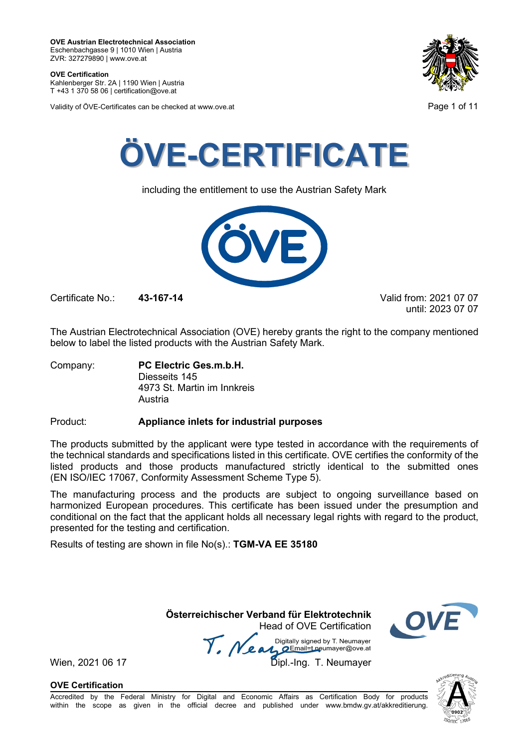**OVE Certification** Kahlenberger Str. 2A | 1190 Wien | Austria

T +43 1 370 58 06 | certification@ove.at

Validity of ÖVE-Certificates can be checked at www.ove.at Page 1 of 11





including the entitlement to use the Austrian Safety Mark



Certificate No.: **43-167-14** Valid from: 2021 07 07

until: 2023 07 07

The Austrian Electrotechnical Association (OVE) hereby grants the right to the company mentioned below to label the listed products with the Austrian Safety Mark.

Company: **PC Electric Ges.m.b.H.** Diesseits 145 4973 St. Martin im Innkreis Austria

### Product: **Appliance inlets for industrial purposes**

The products submitted by the applicant were type tested in accordance with the requirements of the technical standards and specifications listed in this certificate. OVE certifies the conformity of the listed products and those products manufactured strictly identical to the submitted ones (EN ISO/IEC 17067, Conformity Assessment Scheme Type 5).

The manufacturing process and the products are subject to ongoing surveillance based on harmonized European procedures. This certificate has been issued under the presumption and conditional on the fact that the applicant holds all necessary legal rights with regard to the product, presented for the testing and certification.

Results of testing are shown in file No(s).: **TGM-VA EE 35180**

**Österreichischer Verband für Elektrotechnik** Head of OVE Certification

Wien, 2021 06 17 Me and Digitally signed by Livedingy.<br>Wien, 2021 06 17 Dipl.-Ing. T. Neumayer Digitally signed by T. Neumayer



**OVE Certification**

်ဂဓဂ္

Accredited by the Federal Ministry for Digital and Economic Affairs as Certification Body for products within the scope as given in the official decree and published under www.bmdw.gv.at/akkreditierung.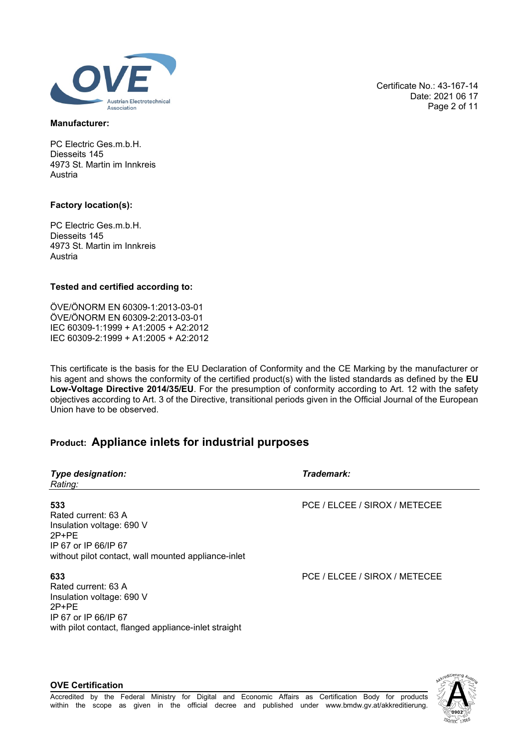

### **Manufacturer:**

PC Electric Ges.m.b.H. Diesseits 145 4973 St. Martin im Innkreis Austria

### **Factory location(s):**

PC Electric Ges.m.b.H. Diesseits 145 4973 St. Martin im Innkreis Austria

### **Tested and certified according to:**

ÖVE/ÖNORM EN 60309-1:2013-03-01 ÖVE/ÖNORM EN 60309-2:2013-03-01 IEC 60309-1:1999 + A1:2005 + A2:2012 IEC 60309-2:1999 + A1:2005 + A2:2012

This certificate is the basis for the EU Declaration of Conformity and the CE Marking by the manufacturer or his agent and shows the conformity of the certified product(s) with the listed standards as defined by the **EU Low-Voltage Directive 2014/35/EU**. For the presumption of conformity according to Art. 12 with the safety objectives according to Art. 3 of the Directive, transitional periods given in the Official Journal of the European Union have to be observed.

# **Product: Appliance inlets for industrial purposes**

| <b>Type designation:</b><br>Rating:                                                                                                                | Trademark:                    |
|----------------------------------------------------------------------------------------------------------------------------------------------------|-------------------------------|
| 533<br>Rated current: 63 A<br>Insulation voltage: 690 V<br>$2P+PE$<br>IP 67 or IP 66/IP 67<br>without pilot contact, wall mounted appliance-inlet  | PCE / ELCEE / SIROX / METECEE |
| 633<br>Rated current: 63 A<br>Insulation voltage: 690 V<br>$2P+PE$<br>IP 67 or IP 66/IP 67<br>with pilot contact, flanged appliance-inlet straight | PCE / ELCEE / SIROX / METECEE |

Certificate No.: 43-167-14 Date: 2021 06 17 Page 2 of 11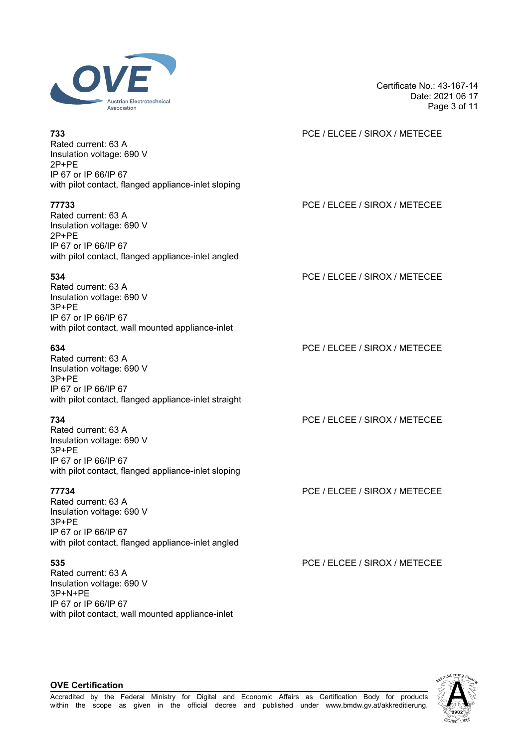

Rated current: 63 A Insulation voltage: 690 V 2P+PE IP 67 or IP 66/IP 67 with pilot contact, flanged appliance-inlet sloping

Rated current: 63 A Insulation voltage: 690 V 2P+PE IP 67 or IP 66/IP 67 with pilot contact, flanged appliance-inlet angled

Rated current: 63 A Insulation voltage: 690 V 3P+PE IP 67 or IP 66/IP 67 with pilot contact, wall mounted appliance-inlet

Rated current: 63 A Insulation voltage: 690 V 3P+PE IP 67 or IP 66/IP 67 with pilot contact, flanged appliance-inlet straight

Rated current: 63 A Insulation voltage: 690 V 3P+PE IP 67 or IP 66/IP 67 with pilot contact, flanged appliance-inlet sloping

Rated current: 63 A Insulation voltage: 690 V 3P+PE IP 67 or IP 66/IP 67 with pilot contact, flanged appliance-inlet angled

Rated current: 63 A Insulation voltage: 690 V 3P+N+PE IP 67 or IP 66/IP 67 with pilot contact, wall mounted appliance-inlet Page 3 of 11

Certificate No.: 43-167-14

Date: 2021 06 17

# **733** PCE / ELCEE / SIROX / METECEE

# **77733** PCE / ELCEE / SIROX / METECEE

**534** PCE / ELCEE / SIROX / METECEE

**634** PCE / ELCEE / SIROX / METECEE

**734** PCE / ELCEE / SIROX / METECEE

**77734** PCE / ELCEE / SIROX / METECEE

**535** PCE / ELCEE / SIROX / METECEE

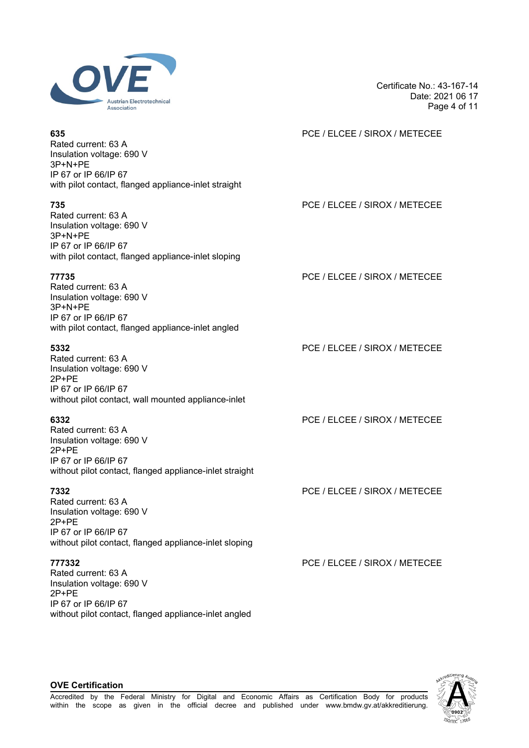

Certificate No.: 43-167-14 Date: 2021 06 17 Page 4 of 11

| 635<br>Rated current: 63 A<br>Insulation voltage: 690 V<br>$3P+N+PE$<br>IP 67 or IP 66/IP 67<br>with pilot contact, flanged appliance-inlet straight | PCE / ELCEE / SIROX / METECEE |
|------------------------------------------------------------------------------------------------------------------------------------------------------|-------------------------------|
| 735<br>Rated current: 63 A<br>Insulation voltage: 690 V<br>$3P+N+PE$<br>IP 67 or IP 66/IP 67<br>with pilot contact, flanged appliance-inlet sloping  | PCE / ELCEE / SIROX / METECEE |
| 77735<br>Rated current: 63 A<br>Insulation voltage: 690 V<br>$3P+N+PE$<br>IP 67 or IP 66/IP 67<br>with pilot contact, flanged appliance-inlet angled | PCE / ELCEE / SIROX / METECEE |
| 5332<br>$Data$ ourrant: $620$                                                                                                                        | PCE / ELCEE / SIROX / METECEE |

Rated current: 63 A Insulation voltage: 690 V 2P+PE IP 67 or IP 66/IP 67 without pilot contact, wall mounted appliance-inlet

Rated current: 63 A Insulation voltage: 690 V 2P+PE IP 67 or IP 66/IP 67 without pilot contact, flanged appliance-inlet straight

Rated current: 63 A Insulation voltage: 690 V 2P+PE IP 67 or IP 66/IP 67 without pilot contact, flanged appliance-inlet sloping

Rated current: 63 A Insulation voltage: 690 V 2P+PE IP 67 or IP 66/IP 67 without pilot contact, flanged appliance-inlet angled **635** PCE / ELCEE / SIROX / METECEE

**6332** PCE / ELCEE / SIROX / METECEE

**7332** PCE / ELCEE / SIROX / METECEE

**777332** PCE / ELCEE / SIROX / METECEE

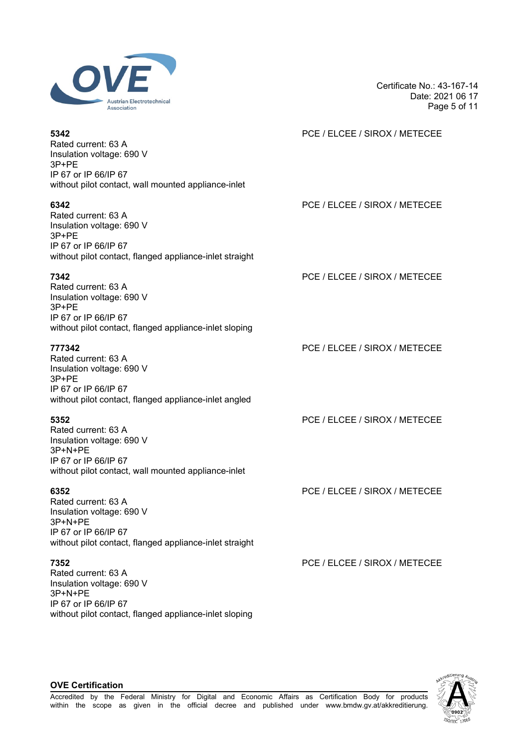

Certificate No.: 43-167-14 Date: 2021 06 17 Page 5 of 11

| 5342<br>Rated current: 63 A<br>Insulation voltage: 690 V                                    | PCE / ELCEE / SIROX / METECEE |
|---------------------------------------------------------------------------------------------|-------------------------------|
| 3P+PE<br>IP 67 or IP 66/IP 67<br>without pilot contact, wall mounted appliance-inlet        |                               |
| 6342<br>Rated current: 63 A<br>Insulation voltage: 690 V<br>3P+PE<br>IP 67 or IP 66/IP 67   | PCE / ELCEE / SIROX / METECEE |
| without pilot contact, flanged appliance-inlet straight                                     |                               |
| 7342<br>Rated current: 63 A<br>Insulation voltage: 690 V<br>$3P+PE$                         | PCE / ELCEE / SIROX / METECEE |
| IP 67 or IP 66/IP 67<br>without pilot contact, flanged appliance-inlet sloping              |                               |
| 777342<br>Rated current: 63 A<br>Insulation voltage: 690 V<br>3P+PE                         | PCE / ELCEE / SIROX / METECEE |
| IP 67 or IP 66/IP 67<br>without pilot contact, flanged appliance-inlet angled               |                               |
| 5352<br>Rated current: 63 A<br>Insulation voltage: 690 V<br>3P+N+PE                         | PCE / ELCEE / SIROX / METECEE |
| IP 67 or IP 66/IP 67<br>without pilot contact, wall mounted appliance-inlet                 |                               |
| 6352<br>Rated current: 63 A<br>Insulation voltage: 690 V<br>3P+N+PE<br>IP 67 or IP 66/IP 67 | PCE / ELCEE / SIROX / METECEE |
| without pilot contact, flanged appliance-inlet straight                                     |                               |
| 7352<br>Rated current: 63 A<br>Insulation voltage: 690 V<br>3P+N+PE                         | PCE / ELCEE / SIROX / METECEE |



# **OVE Certification**

IP 67 or IP 66/IP 67

without pilot contact, flanged appliance-inlet sloping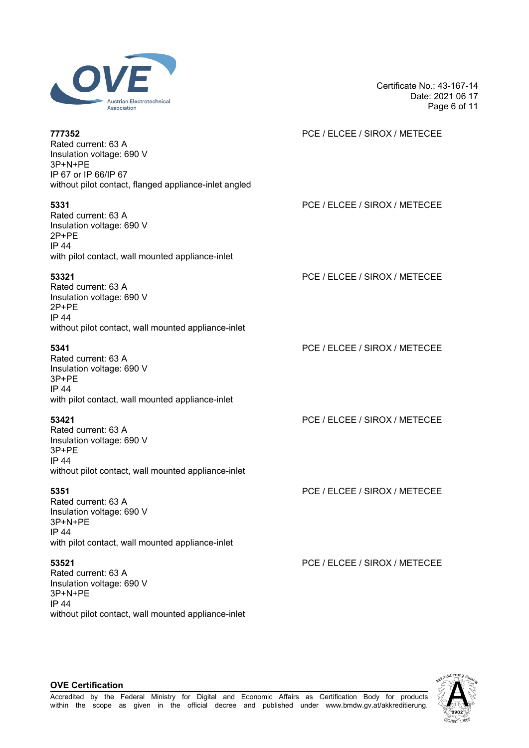

Certificate No.: 43-167-14 Date: 2021 06 17 Page 6 of 11

| 777352<br>Rated current: 63 A<br>Insulation voltage: 690 V<br>3P+N+PE<br>IP 67 or IP 66/IP 67<br>without pilot contact, flanged appliance-inlet angled | PCE / ELCEE / SIROX / METECEE |
|--------------------------------------------------------------------------------------------------------------------------------------------------------|-------------------------------|
| 5331<br>Rated current: 63 A<br>Insulation voltage: 690 V<br>2P+PE<br><b>IP 44</b><br>with pilot contact, wall mounted appliance-inlet                  | PCE / ELCEE / SIROX / METECEE |
| 53321<br>Rated current: 63 A<br>Insulation voltage: 690 V<br>$2P+PE$<br><b>IP 44</b><br>without pilot contact, wall mounted appliance-inlet            | PCE / ELCEE / SIROX / METECEE |
| 5341<br>Rated current: 63 A<br>Insulation voltage: 690 V<br>3P+PE<br><b>IP 44</b><br>with pilot contact, wall mounted appliance-inlet                  | PCE / ELCEE / SIROX / METECEE |
| 53421<br>Rated current: 63 A<br>Insulation voltage: 690 V<br>3P+PE<br><b>IP 44</b><br>without pilot contact, wall mounted appliance-inlet              | PCE / ELCEE / SIROX / METECEE |
| 5351<br>Rated current: 63 A<br>Insulation voltage: 690 V<br>3P+N+PE<br>IP 44<br>with pilot contact, wall mounted appliance-inlet                       | PCE / ELCEE / SIROX / METECEE |
| 53521<br>Rated current: 63 A<br>Insulation voltage: 690 V<br>3P+N+PE<br><b>IP 44</b>                                                                   | PCE / ELCEE / SIROX / METECEE |



# **OVE Certification**

without pilot contact, wall mounted appliance-inlet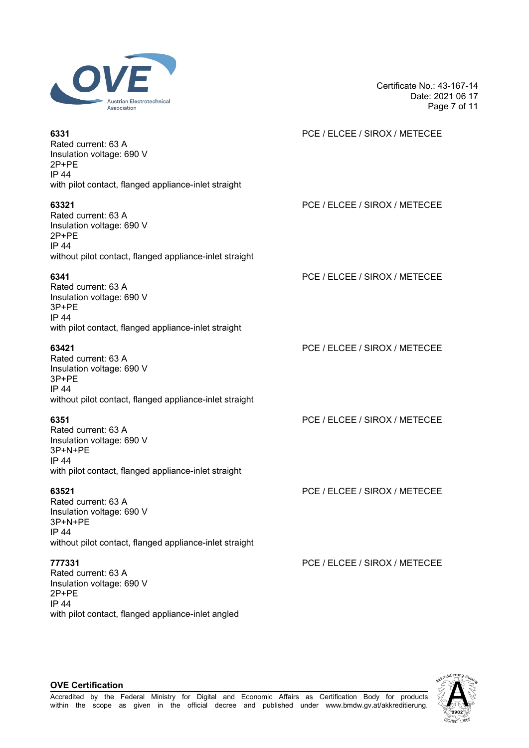

Certificate No.: 43-167-14 Date: 2021 06 17 Page 7 of 11

| 6331<br>Rated current: 63 A<br>Insulation voltage: 690 V<br>$2P+PE$<br><b>IP 44</b><br>with pilot contact, flanged appliance-inlet straight     | PCE / ELCEE / SIROX / METECEE |
|-------------------------------------------------------------------------------------------------------------------------------------------------|-------------------------------|
| 63321<br>Rated current: 63 A<br>Insulation voltage: 690 V<br>$2P+PE$<br><b>IP 44</b><br>without pilot contact, flanged appliance-inlet straight | PCE / ELCEE / SIROX / METECEE |
| 6341<br>Rated current: 63 A<br>Insulation voltage: 690 V<br>3P+PE<br><b>IP 44</b><br>with pilot contact, flanged appliance-inlet straight       | PCE / ELCEE / SIROX / METECEE |
| 63421<br>Rated current: 63 A<br>Insulation voltage: 690 V<br>3P+PE<br><b>IP 44</b><br>without pilot contact, flanged appliance-inlet straight   | PCE / ELCEE / SIROX / METECEE |
| 6351<br>Rated current: 63 A<br>Insulation voltage: 690 V<br>3P+N+PE<br>IP 44<br>with pilot contact, flanged appliance-inlet straight            | PCE / ELCEE / SIROX / METECEE |
| 63521<br>Rated current: 63 A<br>Insulation voltage: 690 V<br>3P+N+PE<br>IP 44<br>without pilot contact, flanged appliance-inlet straight        | PCE / ELCEE / SIROX / METECEE |
| 777331<br>Rated current: 63 A<br>Insulation voltage: 690 V<br>$2P+PE$<br><b>IP 44</b><br>with pilot contact, flanged appliance-inlet angled     | PCE / ELCEE / SIROX / METECEE |

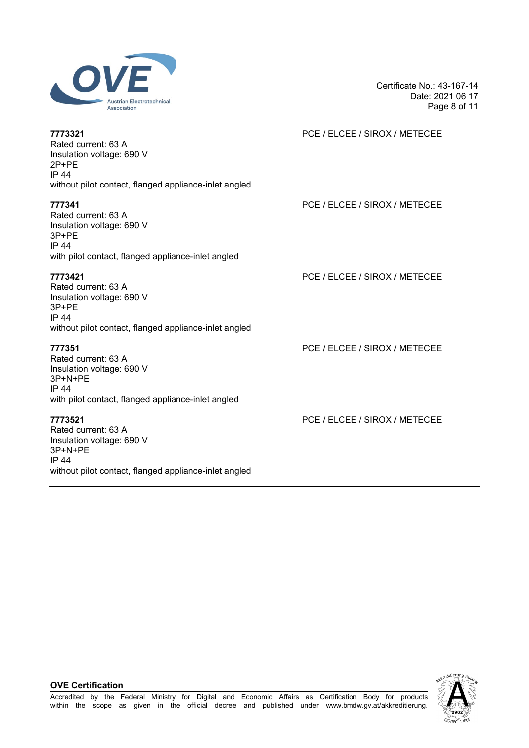

Certificate No.: 43-167-14 Date: 2021 06 17 Page 8 of 11

| 7773321<br>Rated current: 63 A<br>Insulation voltage: 690 V<br>$2P+PE$<br><b>IP 44</b><br>without pilot contact, flanged appliance-inlet angled | PCE / ELCEE / SIROX / METECEE |
|-------------------------------------------------------------------------------------------------------------------------------------------------|-------------------------------|
| 777341<br>Rated current: 63 A<br>Insulation voltage: 690 V<br>$3P+PE$<br><b>IP 44</b><br>with pilot contact, flanged appliance-inlet angled     | PCE / ELCEE / SIROX / METECEE |
| 7773421<br>Rated current: 63 A<br>Insulation voltage: 690 V<br>$3P+PE$<br><b>IP 44</b><br>without pilot contact, flanged appliance-inlet angled | PCE / ELCEE / SIROX / METECEE |
| 777351<br>Rated current: 63 A<br>Insulation voltage: 690 V<br>3P+N+PE<br><b>IP 44</b><br>with pilot contact, flanged appliance-inlet angled     | PCE / ELCEE / SIROX / METECEE |
| 7773521<br>Rated current: 63 A<br>Insulation voltage: 690 V<br>$3P+N+PE$<br>IP 44<br>without pilot contact, flanged appliance-inlet angled      | PCE / ELCEE / SIROX / METECEE |

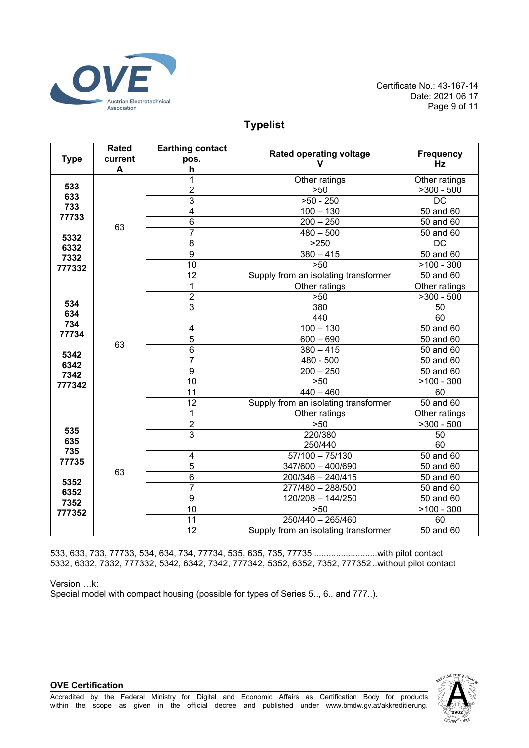

# **Typelist**

|                     | <b>Rated</b> | <b>Earthing contact</b> | <b>Rated operating voltage</b>       | <b>Frequency</b> |
|---------------------|--------------|-------------------------|--------------------------------------|------------------|
| <b>Type</b>         | current      | pos.                    | v                                    | Hz               |
|                     | A            | h                       |                                      |                  |
| 533<br>633          |              | $\overline{1}$          | Other ratings                        | Other ratings    |
|                     |              | $\overline{2}$          | $>50$                                | $>300 - 500$     |
|                     |              | $\overline{3}$          | $>50 - 250$                          | $\overline{DC}$  |
| 733<br>77733        |              | $\overline{4}$          | $100 - 130$                          | 50 and 60        |
|                     | 63           | 6                       | $200 - 250$                          | $50$ and $60$    |
| 5332                |              | $\overline{7}$          | $480 - 500$                          | 50 and 60        |
| 6332                |              | $\overline{8}$          | >250                                 | <b>DC</b>        |
| 7332                |              | $\overline{9}$          | $380 - 415$                          | 50 and 60        |
| 777332              |              | 10                      | $>50$                                | $>100 - 300$     |
|                     |              | $\overline{12}$         | Supply from an isolating transformer | 50 and 60        |
|                     |              | $\mathbf{1}$            | Other ratings                        | Other ratings    |
|                     |              | $\overline{2}$          | >50                                  | $>300 - 500$     |
| 534                 |              | $\overline{3}$          | 380                                  | 50               |
| 634<br>734<br>77734 | 63           |                         | 440                                  | 60               |
|                     |              | 4                       | $100 - 130$                          | $50$ and $60$    |
|                     |              | 5                       | $600 - 690$                          | 50 and 60        |
| 5342                |              | $\overline{6}$          | $380 - 415$                          | 50 and 60        |
| 6342                |              | 7                       | 480 - 500                            | 50 and 60        |
| 7342                |              | $\boldsymbol{9}$        | $\overline{200} - 250$               | 50 and 60        |
| 777342              |              | 10                      | >50                                  | $>100 - 300$     |
|                     |              | 11                      | $440 - 460$                          | 60               |
|                     |              | 12                      | Supply from an isolating transformer | 50 and 60        |
|                     |              | 1                       | Other ratings                        | Other ratings    |
|                     |              | $\boldsymbol{2}$        | $>50$                                | $>300 - 500$     |
| 535<br>635          |              | $\overline{3}$          | 220/380                              | 50               |
| 735                 |              |                         | 250/440                              | 60               |
| 77735               |              | 4                       | $57/100 - 75/130$                    | 50 and 60        |
|                     | 63           | 5                       | 347/600 - 400/690                    | 50 and 60        |
| 5352                |              | $\,6$                   | $200/346 - 240/415$                  | $50$ and $60$    |
| 6352<br>7352        |              | $\overline{7}$          | 277/480 - 288/500                    | 50 and 60        |
|                     |              | 9                       | 120/208 - 144/250                    | 50 and 60        |
| 777352              |              | 10                      | $>50$                                | $>100 - 300$     |
|                     |              | 11                      | $250/440 - 265/460$                  | 60               |
|                     |              | 12                      | Supply from an isolating transformer | 50 and 60        |

533, 633, 733, 77733, 534, 634, 734, 77734, 535, 635, 735, 77735 ..........................with pilot contact 5332, 6332, 7332, 777332, 5342, 6342, 7342, 777342, 5352, 6352, 7352, 777352 ..without pilot contact

Version …k:

**OVE Certification**

Special model with compact housing (possible for types of Series 5.., 6.. and 777..).

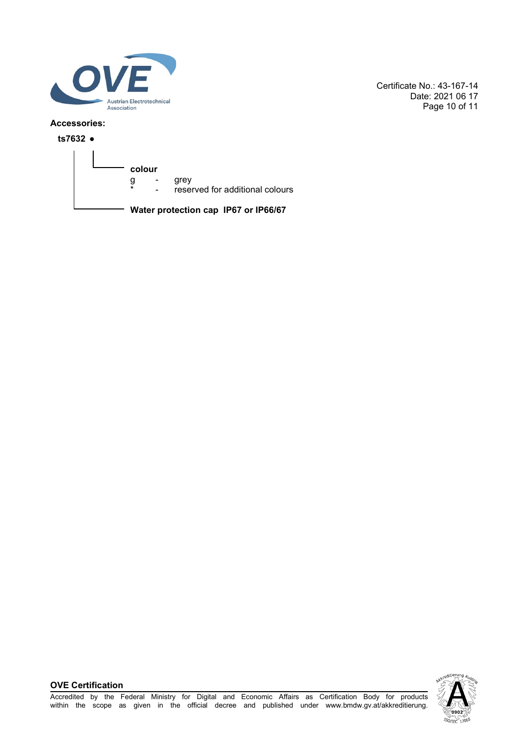

Certificate No.: 43-167-14 Date: 2021 06 17 Page 10 of 11

### **Accessories:**

**ts7632 ●**